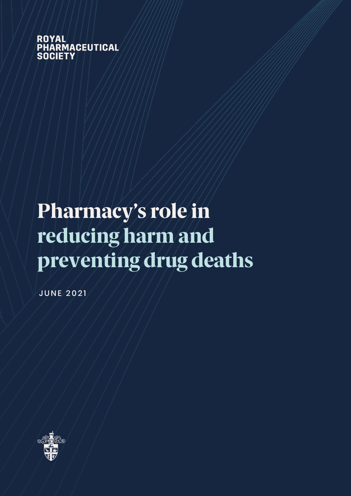ROYAL<br>PHARMACEUTICAL **SOCIETY** 

# Pharmacy's role in reducing harm and preventing drug deaths

JUNE 2021

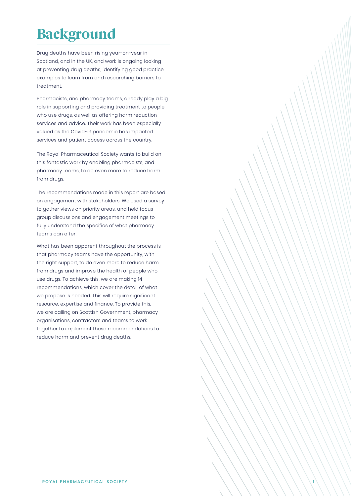### Background

Drug deaths have been rising year-on-year in Scotland, and in the UK, and work is ongoing looking at preventing drug deaths, identifying good practice examples to learn from and researching barriers to treatment.

Pharmacists, and pharmacy teams, already play a big role in supporting and providing treatment to people who use drugs, as well as offering harm reduction services and advice. Their work has been especially valued as the Covid-19 pandemic has impacted services and patient access across the country.

The Royal Pharmaceutical Society wants to build on this fantastic work by enabling pharmacists, and pharmacy teams, to do even more to reduce harm from drugs.

The recommendations made in this report are based on engagement with stakeholders. We used a survey to gather views on priority areas, and held focus group discussions and engagement meetings to fully understand the specifics of what pharmacy teams can offer.

What has been apparent throughout the process is that pharmacy teams have the opportunity, with the right support, to do even more to reduce harm from drugs and improve the health of people who use drugs. To achieve this, we are making 14 recommendations, which cover the detail of what we propose is needed. This will require significant resource, expertise and finance. To provide this, we are calling on Scottish Government, pharmacy organisations, contractors and teams to work together toimplement these recommendations to implement these recommendations to reduce harm and prevent drug deaths.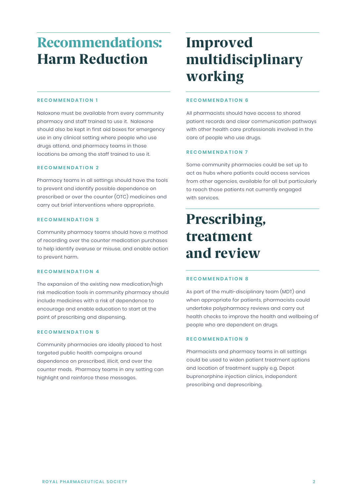### Recommendations: Harm Reduction

### **RECOMMENDATION 1**

**RECOMMENDATION 1** pharmacy and staff trained to use it. Naloxone should also be kept in first aid boxes for emergency use in any clinical setting where people who use drugs attend, and pharmacy teams in those locations be among the staff trained to use it. Naloxone must be available from every community

### **RECOMMENDATION 2**

to prevent and identify possible dependence on prescribed or over the counter (OTC) medicines and carry out brief interventions where appropriate. Pharmacy teams in all settings should have the tools

#### prescribed or over the counter (OTC) medicines and **RECOMMENDATION 3**

of recording over the counter medication purchases to help identify overuse or misuse, and enable action to prevent harm. Community pharmacy teams should have a method

### **RECOMMENDATION 4**

risk medication tools in community pharmacy should include medicines with a risk of dependence to encourage and enable education to start at the point of prescribing and dispensing. The expansion of the existing new medication/high

#### point of presentation and dispension and dispension and dispension and dispension and dispension and dispensio **RECOMMENDATION 5**

targeted public health campaigns around dependence on prescribed, illicit, and over the counter meds. Pharmacy teams in any setting can highlight and reinforce these messages. Community pharmacies are ideally placed to host

## Improved multidisciplinary working

### **RECOMMENDATION 6**

patient records and clear communication pathways with other health care professionals involved in the care of people who use drugs. All pharmacists should have access to shared

#### with other health care professionals involved in the professionals in the professionals in the professional in<br>In the professionals in the professional involved in the professional in the professional in the professional **RECOMMENDATION 7**

act as hubs where patients could access services from other agencies, available for all but particularly to reach those patients not currently engaged with services,  $\alpha$ Some community pharmacies could be set up to

to reach those patients not currently engaged that  $\mathcal{L}_\text{c}$ 

## Prescribing, treatment and review

## **AND RECOMMENDATION 8**

health checks to improve the health and wellbeing of people who are dependent on drugs. As part of the multi-disciplinary team (MDT) and when appropriate for patients, pharmacists could undertake polypharmacy reviews and carry out

### **RECOMMENDATION 9**

Pharmacists and pharmacy teams in all settings could be used to widen patient treatment options buprenorphine injection clinics, independent prescribing and deprescribing. and location of treatment supply e.g. Depot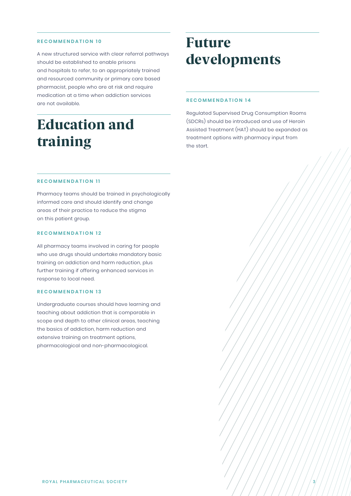### **RECOMMENDATION 10**

A new structured service with clear referral pathways should be established to enable prisons and hospitals to refer, to an appropriately trained and resourced community or primary care based pharmacist, people who are at risk and require medication at a time when addiction services are not available.

### Education and training

### Future developments

### **RECOMMENDATION 14**

(SDCRs) should be introduced and use of Heroin Assisted Treatment (HAT) should be expanded as treatment options with pharmacy input from  $\Box$  as shown  $\Box$  should be expanded by expanding be expanded by expanding be expanded by  $\Box$ Regulated Supervised Drug Consumption Rooms the start.

### **RECOMMENDATION 11**

**RECOMMENDATION 11** informed care and should identify and change areas of their practice to reduce the stigma on this patient group. Pharmacy teams should be trained in psychologically

#### **RECOMMENDATION 12**

**RECOMMENDATION 12** who use drugs should undertake mandatory basic training on addiction and harm reduction, plus further training if offering enhanced services in response to local need. All pharmacy teams involved in caring for people

### **RECOMMENDATION 13**

**RECOMMENDATION 13** teaching about addiction that is comparable in scope and depth to other clinical areas, teaching the basics of addiction, harm reduction and extensive training on treatment options, pharmacological and non-pharmacological.<br>' Undergraduate courses should have learning and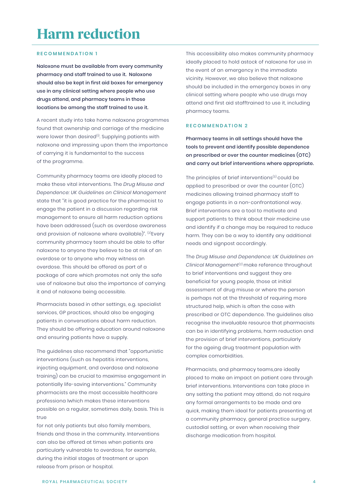### **RECOMMENDATION 1**

Naloxone must be available from every community pharmacy and staff trained to use it. Naloxone should also be kept in first aid boxes for emergency use in any clinical setting where people who use drugs attend, and pharmacy teams in those locations be among the staff trained to use it.

A recent study into take home naloxone programmes found that ownership and carriage of the medicine were lower than desired<sup>(i)</sup>. Supplying patients with naloxone and impressing upon them the importance of carrying it is fundamental to the success of the programme.

Community pharmacy teams are ideally placed to make these vital interventions. The *Drug Misuse and* Dependence: UK Guidelines on Clinical Management state that "it is good practice for the pharmacist to engage the patient in a discussion regarding risk management to ensure all harm reduction options have been addressed (such as overdose awareness and provision of naloxone where available)". <sup>(2)</sup>Every community pharmacy team should be able to offer naloxone to anyone they believe to be at risk of an overdose or to anyone who may witness an  $\,$ overdose. This should be offered as part of a package of care which promotes not only the safe use of naloxone but also the importance of carrying it and of naloxone being accessible.

Pharmacists based in other settings, e.g. specialist services, GP practices, should also be engaging patients in conversations about harm reduction. They should be offering education around naloxone and ensuring patients have a supply.

The guidelines also recommend that "opportunistic interventions (such as hepatitis interventions, injecting equipment, and overdose and naloxone training) can be crucial to maximise engagement in potentially life-saving interventions." Community pharmacists are the most accessible healthcare professiona lwhich makes these interventions possible on a regular, sometimes daily, basis. This is frue also family patients but also family members,  $\mathcal{L}$ true

for not only patients but also family members,  $\hspace{0.1mm}$ friends and those in the community. Interventions can also be offered at times when patients are particularly vulnerable to overdose, for example, during the initial stages of treatment or upon release from prison or hospital.

This accessibility also makes community pharmacy ideally placed to hold astock of naloxone for use in the event of an emergency in the immediate vicinity. However, we also believe that naloxone should be included in the emergency boxes in any clinical setting where people who use drugs may attend and first aid stafftrained to use it, including pharmacy teams. of naloxone for<br>the immediate<br>eve that naloxo<br>ergency boxes i<br>who use drugs i<br>ed to use it, incli

### **RECOMMENDATION 2**

Pharmacy teams in all settings should have the tools to prevent and identify possible dependence on prescribed or over the counter medicines (OTC) and carry out brief interventions where appropriate.

The principles of brief interventions<sup>(3)</sup> could be applied to prescribed or over the counter (OTC) medicines allowing trained pharmacy staff to engage patients in a non-confrontational way. Brief interventions are a tool to motivate and support patients to think about their medicine use and identify if a change may be required to reduce harm. They can be a way to identify any additional needs and signpost accordingly.

The Drug misuse and dependence: UK guidelines on *Drug Misuse and Dependence: UK Guidelines on*  Clinical Management $(2)$  make reference throughout to brief interventions and suggest they are beneficial for young people, those at initial assessment of drug misuse or where the person is perhaps not at the threshold of requiring more structured help, which is often the case with prescribed or OTC dependence. The guidelines also recognise the invaluable resource that pharmacists can be in identifying problems, harm reduction and the provision of brief interventions, particularly for the ageing drug treatment population with complex comorbidities. *Clinical Management<sup>(2)</sup>* make reference throughout<br>to brief interventions and suggest they are<br>beneficial for young people, those at initial<br>assessment of drug misuse or where the person<br>is perhaps not at the threshold o

Pharmacists, and pharmacy teams,are ideally placed to make an impact on patient care through brief interventions. Interventions can take place in any setting the patient may attend, do not require any formal arrangements to be made and are quick, making them ideal for patients presenting at community pharmacy, general practice surgery, a community pharmacy, general practice surgery, custodial setting, or even when receiving their discharge medication from hospital.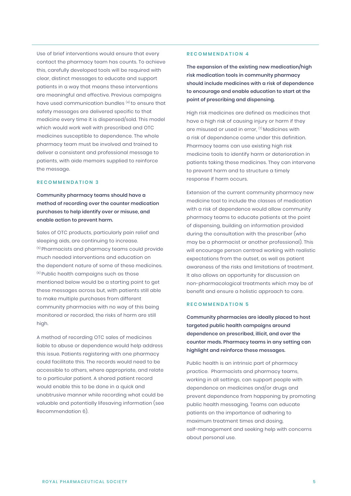Use of brief interventions would ensure that every contact the pharmacy team has counts. To achieve this, carefully developed tools will be required with clear, distinct messages to educate and support patients in a way that means these interventions are meaningful and effective. Previous campaigns have used communication bundles <sup>(4)</sup> to ensure that safety messages are delivered specific to that medicine every time it is dispensed/sold. This model which would work well with prescribed and OTC medicines susceptible to dependence. The whole pharmacy team must be involved and trained to deliver a consistent and professional message to patients, with aide memoirs supplied to reinforce the message.

### **RECOMMENDATION 3**

Community pharmacy teams should have a method of recording over the counter medication purchases to help identify over or misuse, and enable action to prevent harm.

Sales of OTC products, particularly pain relief and sleeping aids, are continuing to increase.  $^{\scriptscriptstyle{(5)}}$ Pharmacists and pharmacy teams could provide much needed interventions and education on the dependent nature of some of these medicines. the dependent nature of some of these medicines.<br><sup>(6)</sup> Public health campaigns such as those mentioned below would be a starting point to get these messages across but, with patients still able to make multiple purchases from different community pharmacies with no way of this being monitored or recorded, the risks of harm are still high.

A method of recording OTC sales of medicines liable to abuse or dependence would help address liable to abuse or dependence would help addres<br>this issue. Patients registering with one pharmacy could facilitate this. The records would need to be accessible to others, where appropriate, and relate to a particular patient. A shared patient record A shared patient record would enable this to be done in a quick and unobtrusive manner while recording what could be valuable and potentially lifesaving information (see Recommendation 6).

### **RECOMMENDATION 4**

The expansion of the existing new medication/high risk medication tools in community pharmacy shouldinclude medicines with a risk of dependence should include medicines with a risk of dependence to encourage and enable education to start at the point of prescribing and dispensing.

High risk medicines are defined as medicines that have a high risk of causing injury or harm if they are misused or used in error,  $(7)$  Medicines with a risk of dependence come under this definition. Pharmacy teams can use existing high risk medicine tools to identify harm or deterioration in patients taking these medicines. They can intervene patients to prevent harm and to structure a timely response if harm occurs.

Extension of the current community pharmacy new medicine tool to include the classes of medication with a risk of dependence would allow community with a risk of dependence would allow community<br>pharmacy teams to educate patients at the point of dispensing, building on information provided during the consultation with the prescriber (who may be a pharmacist or another professional). This encourage person centred working with realistic will encourage person centred working with realistic expectations from the outset, as well as patient awareness of the risks and limitations of treatment. It also allows an opportunity for discussion on non-pharmacological treatments which may be of benefit and ensure a holistic approach to care. Extension of the current community pharmacy new<br>medicine tool to include the classes of medication<br>with a risk of dependence would allow community<br>pharmacy teams to educate patients at the point<br>of dispensing, building on

### **RECOMMENDATION 5**

Community pharmacies are ideally placed to host targeted public health campaigns around dependence on prescribed, illicit, and over the counter meds. Pharmacy teams in any setting can highlight and reinforce these messages.

Public health is an intrinsic part of pharmacy practice. Pharmacists and pharmacy teams, working in all settings, can support people with dependence on medicines and/or drugs and prevent dependence from happening by promoting public health messaging. Teams can educate patients on the importance of adhering to maximum treatment times and dosing, self-management and seeking help with concerns about personal use.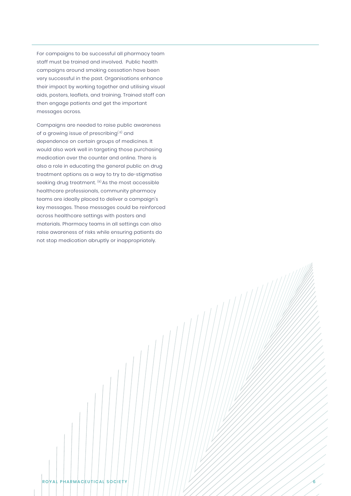For campaigns to be successful all pharmacy team staff must be trained and involved. Public health campaigns around smoking cessation have been very successful in the past. Organisations enhance their impact by working together and utilising visual aids, posters, leaflets, and training. Trained staff can then engage patients and get the important messages across.

Campaigns are needed to raise public awareness of a growing issue of prescribing<sup>(8)</sup> and dependence on certain groups of medicines. It would also work well in targeting those purchasing medication over the counter and online. There is also a role in educating the general public on drug treatment options as a way to try to de-stigmatise seeking drug treatment. <sup>(9)</sup> As the most accessible healthcare professionals, community pharmacy teams are ideally placed to deliver a campaign's teams are ideally placed to deliver a campaign's<br>key messages. These messages could be reinforced across healthcare settings with posters and materials. Pharmacy teams in all settings can also raise awareness of risks while ensuring patients do not stop medication abruptly or inappropriately.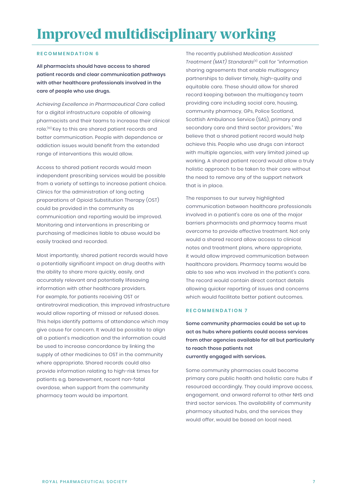## Improved multidisciplinary working

### **RECOMMENDATION 6**

All pharmacists should have access to shared patient records and clear communication pathways with other healthcare professionals involved in the care of people who use drugs.

Achieving Excellence in Pharmaceutical Care called for a digital infrastructure capable of allowing pharmacists and their teams to increase their clinical role.<sup>(10)</sup> Key to this are shared patient records and better communication. People with dependence or addiction issues would benefit from the extended range of interventions this would allow. *Achieving Excellence in Pharmaceutical Care* call<br>for a digital infrastructure capable of allowing<br>pharmacists and their teams to increase their cli<br>role.<sup>(10)</sup> Key to this are shared patient records and

Access to shared patient records would mean independent prescribing services would be possible from a variety of settings to increase patient choice. Clinics for the administration of long acting preparations of Opioid Substitution Therapy (OST) could be provided in the community as communication and reporting would be improved. Monitoring and interventions in prescribing or purchasing of medicines liable to abuse would be easily tracked and recorded.

Most importantly, shared patient records would have a potentially significant impact on drug deaths with the ability to share more quickly, easily, and accurately relevant and potentially lifesaving information with other healthcare providers. For example, for patients receiving OST or antiretroviral medication, this improved infrastructure would allow reporting of missed or refused doses. This helps identify patterns of attendance which may give cause for concern. It would be possible to align all a patient's medication and the information could be used to increase concordance by linking the supply of other medicines to OST in the community where appropriate. Shared records could also provide information relating to high-risk times for patients e.g. bereavement, recent non-fatal overdose, when support from the community  $\,$ pharmacy team would be important.

The recently published Medication Assisted *Medication Assisted*  Treatment (MAT) standards(11) call for "information *Treatment (MAT) Standards*(11) call for "information sharing agreements that enable multiagency partnerships to deliver timely, high-quality and equitable care. These should allow for shared record keeping between the multiagency team providing care including social care, housing, community pharmacy, GPs, Police Scotland, Scottish Ambulance Service (SAS), primary and secondary care and third sector providers." We believe that a shared patient record would help achieve this. People who use drugs can interact with multiple agencies, with very limited joined up working. A shared patient record would allow a truly holistic approach to be taken to their care without the need to remove any of the support network that is in place.

The responses to our survey highlighted communication between healthcare professionals involved in a patient's care as one of the major barriers pharmacists and pharmacy teams must overcome to provide effective treatment. Not only would a shared record allow access to clinical notes and treatment plans, where appropriate, it would allow improved communication between healthcare providers. Pharmacy teams would be able to see who was involved in the patient's care. The record would contain direct contact details allowing quicker reporting of issues and concerns which would facilitate better patient outcomes.

### **RECOMMENDATION 7**

Some community pharmacies could be set up to 'act as hubs where patients could access services act as hubs where patients could access services from other agencies available for all but particularly to reach those patients not currently engaged with services.

Some community pharmacies could become primary care public health and holistic care hubs if resourced accordingly. They could improve access, engagement, and onward referral to other NHS and third sector services. The availability of community pharmacy situated hubs, and the services they would offer, would be based on local need. resourced accordingly. They could improve access<br>engagement, and onward referral to other NHS anc<br>third sector services. The availability of community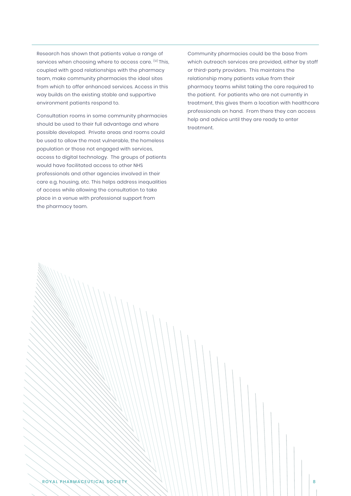Research has shown that patients value a range of services when choosing where to access care. <sup>(12)</sup> This, coupled with good relationships with the pharmacy team, make community pharmacies the ideal sites from which to offer enhanced services. Access in this way builds on the existing stable and supportive environment patients respond to.

Consultation rooms in some community pharmacies should be used to their full advantage and where possible developed. Private areas and rooms could be used to allow the most vulnerable, the homeless population or those not engaged with services, access to digital technology. The groups of patients would have facilitated access to other NHS professionals and other agencies involved in their care e.g. housing, etc. This helps address inequalities of access while allowing the consultation to take place in a venue with professional support from the pharmacy team.

Community pharmacies could be the base from which outreach services are provided, either by staff or third-party providers. This maintains the relationship many patients value from their pharmacy teams whilst taking the care required to the patient. For patients who are not currently in treatment, this gives them a location with healthcare professionals on hand. From there they can access help and advice until they are ready to enter treatment.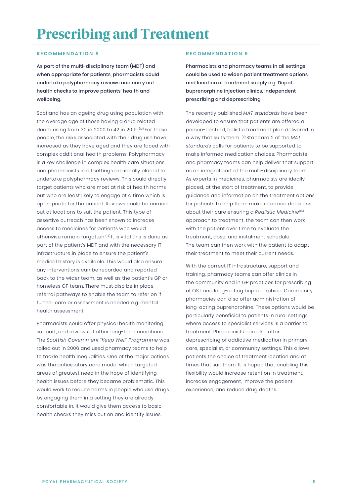### Prescribing and Treatment

### **RECOMMENDATION 8**

As part of the multi-disciplinary team (MDT) and when appropriate for patients, pharmacists could undertake polypharmacy reviews and carry out health checks to improve patients' health and wellbeing.

Scotland has an ageing drug using population with the average age of those having a drug related death rising from 30 in 2000 to 42 in 2019. <sup>(13)</sup> For these people, the risks associated with their drug use have increased as they have aged and they are faced with complex additional health problems. Polypharmacy is a key challenge in complex health care situations and pharmacists in all settings are ideally placed to undertake polypharmacy reviews. This could directly target patients who are most at risk of health harms but who are least likely to engage at a time which is appropriate for the patient. Reviews could be carried out at locations to suit the patient. This type of assertive outreach has been shown to increase access to medicines for patients who would otherwise remain forgotten.<sup>(14)</sup> It is vital this is done as part of the patient's MDT and with the necessary IT infrastructure in place to ensure the patient's medical history is available. This would also ensure any interventions can be recorded and reported back to the wider team, as well as the patient's GP or homeless GP team. There must also be in place referral pathways to enable the team to refer on if further care or assessment is needed e.g. mental health assessment. From their controllant that controllant that standards and are an appear of the standard and the particular propriate that the particular that in the controllant that the controllant that the controllant that the particul

Pharmacists could offer physical health monitoring, support, and reviews of other long-term conditions. The Scottish Government "Keep Well" Programme was rolled out in 2006 and used pharmacy teams to help to tackle health inequalities. One of the major actions was the anticipatory care model which targeted areas of greatest need in the hope of identifying health issues before they became problematic. This would work to reduce harms in people who use drugs by engaging them in a setting they are already comfortable in. It would give them access to basic health checks they miss out on and identify issues.

### **RECOMMENDATION 9**

Pharmacists and pharmacy teams in all settings could be used to widen patient treatment options and location of treatment supply e.g. Depot buprenorphine injection clinics, independent prescribing and deprescribing.

The recently published MAT standards have been developed to ensure that patients are offered a person-centred, holistic treatment plan delivered in a way that suits them.  $(n)$  Standard 2 of the MAT standards calls for patients to be supported to *standards* supported make informed medication choices. Pharmacists and pharmacy teams can help deliver that support as an integral part of the multi-disciplinary team. As experts in medicines, pharmacists are ideally placed, at the start of treatment, to provide guidance and information on the treatment options for patients to help them make informed decisions about their care ensuring a Realistic Medicine(15) *Realistic Medicine*(15) approach to treatment, the team can then work with the patient over time to evaluate the treatment, dose, and instalment schedule. The team can then work with the patient to adapt their treatment to meet their current needs.

With the correct IT infrastructure, support and training, pharmacy teams can offer clinics in the community and in GP practices for prescribing of OST and long-acting buprenorphine. Community pharmacies can also offer administration of long-acting buprenorphine. These options would be particularly beneficial to patients in rural settings where access to specialist services is a barrier to treatment. Pharmacists can also offer deprescribing of addictive medication in primary care, specialist, or community settings. This allows patients the choice of treatment location and at times that suit them. It is hoped that enabling this flexibility would increase retention in treatment, increase engagement, improve the patient experience, and reduce drug deaths.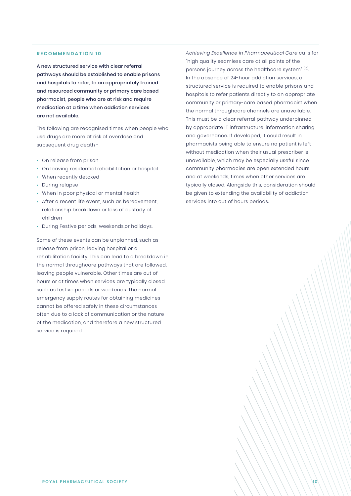### **RECOMMENDATION 10**

A new structured service with clear referral pathways should be established to enable prisons and hospitals to refer, to an appropriately trained and resourced community or primary care based pharmacist, people who are at risk and require medication at a time when addiction services are not available.

The following are recognised times when people who use drugs are more at risk of overdose and subsequent drug death -

- $\cdot$  On release from prison
- On leaving residential rehabilitation or hospital •
- When recently detoxed •
- During relapse
- When in poor physical or mental health •
- After a recent life event, such as bereavement, relationship breakdown or loss of custody of children
- During Festive periods, weekends,or holidays.

Some of these events can be unplanned, such as release from prison, leaving hospital or a rehabilitation facility. This can lead to a breakdown in the normal throughcare pathways that are followed, leaving people vulnerable. Other times are out of hours or at times when services are typically closed such as festive periods or weekends. The normal emergency supply routes for obtaining medicines cannot be offered safely in these circumstances often due to a lack of communication or the nature of the medication, and therefore a new structured service is required.

Achieving Excellence in Pharmaceutical Care calls for *Achieving Excellence in Pharmaceutical Care* for "high quality seamless care at all points of the persons journey across the healthcare system" (10). In the absence of 24-hour addiction services, a structured service is required to enable prisons and hospitals to refer patients directly to an appropriate community or primary-care based pharmacist when the normal throughcare channels are unavailable. This must be a clear referral pathway underpinned by appropriate IT infrastructure, information sharing and governance. If developed, it could result in pharmacists being able to ensure no patient is left without medication when their usual prescriber is unavailable, which may be especially useful since community pharmacies are open extended hours and at weekends, times when other services are typically closed. Alongside this, consideration should be given to extending the availability of addiction services into out of hours periods.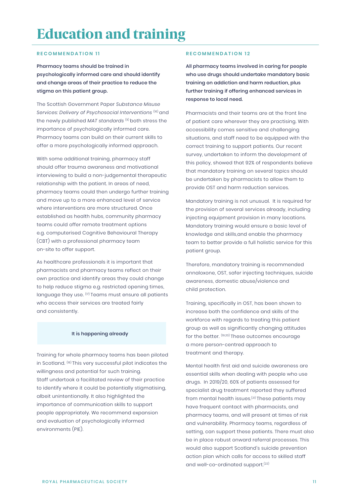### Education and training

### **RECOMMENDATION 11 RECOMMENDATION 12**

Pharmacy teams should be trained in psychologically informed care and should identify and change areas of their practice to reduce the stigma on this patient group.

The Scottish Government Paper Substance misuse *Substance Misuse*  services: delivery of psychosocial interventions (16)and *Services: Delivery of Psychosocial Interventions* (16) and the newly published MAT standards (11)both stress the *MAT standards* (11) both stress the importance of psychologically informed care. Pharmacy teams can build on their current skills to offer a more psychologically informed approach.

With some additional training, pharmacy staff should offer trauma awareness and motivational interviewing to build a non-judgemental therapeutic relationship with the patient. In areas of need, pharmacy teams could then undergo further training and move up to a more enhanced level of service where interventions are more structured. Once established as health hubs, community pharmacy teams could offer remote treatment options e.g. computerised Cognitive Behavioural Therapy (CBT) with a professional pharmacy team on-site to offer support.

As healthcare professionals it is important that pharmacists and pharmacy teams reflect on their own practice and identify areas they could change to help reduce stigma e.g. restricted opening times, language they use. <sup>(17)</sup>Teams must ensure all patients who access their services are treated fairly and consistently.

### It is happening already

Training for whole pharmacy teams has been piloted in Scotland. (18)This very successful pilot indicates the (18) This very successful pilot indicates the willingness and potential for such training. Staff undertook a facilitated review of their practice to identify where it could be potentially stigmatising, albeit unintentionally. It also highlighted the importance of communication skills to support people appropriately. We recommend expansionand evaluation of psychologically informed environments (PIE).

All pharmacy teams involved in caring for people who use drugs should undertake mandatory basic training on addiction and harm reduction, plus further training if offering enhanced services in response to local need.

Pharmacists and their teams are at the front line of patient care wherever they are practising. With accessibility comes sensitive and challenging situations, and staff need to be equipped with the correct training to support patients. Our recent survey, undertaken to inform the development of this policy, showed that 92% of respondents believe that mandatory training on several topics should be undertaken by pharmacists to allow them to provide OST and harm reduction services.

Mandatory training is not unusual. It is required for the provision of several services already, including injecting equipment provision in manylocations. many locations. Mandatory training would ensure a basic level of knowledge and skills,and enable the pharmacy team to better provide a full holistic service for this patient group.

Therefore, mandatory training is recommended onnaloxone, OST, safer injecting techniques, suicide awareness, domestic abuse/violence and child protection.

Training, specifically in OST, has been shown to increase both the confidence and skills of the workforce with regards to treating this patient group as well as significantly changing attitudes for the better. <sup>(19,20)</sup> These outcomes encourage a more person-centred approach to treatment and therapy.

Mental health first aid and suicide awareness are essential skills when dealing with people who use drugs. In 2019/20, 60% of patients assessed for specialist drug treatment reported they suffered from mental health issues.<sup>(21)</sup>These patients may have frequent contact with pharmacists, and pharmacy teams, and will present at times of risk and vulnerability. Pharmacy teams, regardless of setting, can support these patients. There must also be in place robust onward referral processes. This would also support Scotland's suicide prevention action plan which calls for access to skilled staff and well-co-ordinated support.<sup>(22)</sup>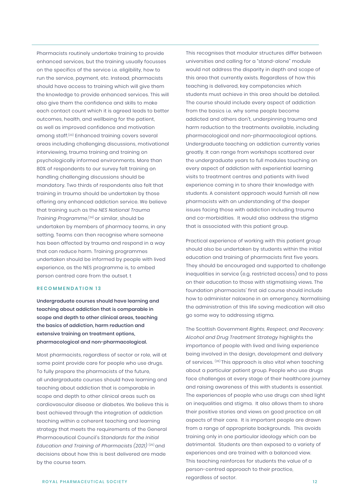Pharmacists routinely undertake training to provide enhanced services, but the training usually focusses on the specifics of the service i.e. eligibility, how to run the service, payment, etc. Instead, pharmacists should have access to training which will give them the knowledge to provide enhanced services. This will also give them the confidence and skills to make each contact count which it is agreed leads to better outcomes, health, and wellbeing for the patient, as well as improved confidence and motivation among staff.(23) Enhanced training covers several areas including challenging discussions, motivational interviewing, trauma training and training on psychologically informed environments. More than 80% of respondents to our survey felt training on handling challenging discussions should be mandatory. Two thirds of respondents also felt that training in trauma should be undertaken by those offering any enhanced addiction service. We believe that training such as the NES National trauma training *NES National Trauma Training Programme*,'<sup>24)</sup> or similar, should be undertaken by members of pharmacy teams, in any undertaken by members of pharmacy teams, in any<br>setting. Teams can then recognise where someone has been affected by trauma and respond in a way that can reduce harm. Training programmes undertaken should be informed by people with lived undertaken should be informed by people with lived<br>experience, as the NES programme is, to embed person centred care from the outset. t Contores from the DMT in the Initial Education and either is only uniterpendent and the Initial Education and Training of the Initial Education and Training of the Initial Education and Training of Training of Training of

### **RECOMMENDATION 13**

Undergraduate courses should have learning and teaching about addiction that is comparable in scope and depth to other clinical areas, teaching the basics of addiction, harm reduction and extensive training on treatment options, pharmacological and non-pharmacological.

Most pharmacists, regardless of sector or role, will at some point provide care for people who use drugs. To fully prepare the pharmacists of the future, all undergraduate courses should have learning and teaching about addiction that is comparable in scope and depth to other clinical areas such as cardiovascular disease or diabetes. We believe this is best achieved through the integration of addiction teaching within a coherent teaching and learning strategy that meets the requirements of the General Pharmaceutical Council's Standards for the Initial Education and Training of Pharmacists  $(202I)^{(25)}$  and decisions about how this is best delivered are made by the course team.

This recognises that modular structures differ between universities and calling for a "stand-alone" module would not address the disparity in depth and scope of this area that currently exists. Regardless of how this teaching is delivered, key competencies which students must achieve in this area should be detailed. The course should include every aspect of addiction from the basics i.e. why some people become addicted and others don't, underpinning trauma and harm reduction to the treatments available, including pharmacological and non-pharmacological options. Undergraduate teaching on addiction currently varies greatly. It can range from workshops scattered over the undergraduate years to full modules touching on every aspect of addiction with experiential learning visits to treatment centres and patients with lived experience coming in to share their knowledge with students. A consistent approach would furnish all new pharmacists with an understanding of the deeper issues facing those with addiction including trauma and co-morbidities. It would also address the stigma that is associated with this patient group.

Practical experience of working with this patient group should also be undertaken by students within the initial education and training of pharmacists first five years. They should be encouraged and supported to challenge inequalities in service (e.g. restricted access) and to pass on their education to those with stigmatising views. The foundation pharmacists' first aid course should include how to administer naloxone in an emergency. Normalising the administration of this life saving medication will also go some way to addressing stigma.

The Scottish Government Rights, respect, and recovery: *Rights, Respect, and Recovery:*  alcohol and drug treatment strategy highlights the *Alcohol and Drug Treatment Strategy* highlights the importance of people with lived and living experience being involved in the design, development and delivery of services. (26)This approach is also vital when teaching (26) This approach is also vital when teaching about a particular patient group. People who use drugs face challenges at every stage of their healthcare journey and raising awareness of this with students is essential. The experiences of people who use drugs can shed light on inequalities and stigma. It also allows them to share their positive stories and views on good practice on all aspects of their care. It is important people are drawn from a range of appropriate backgrounds. This avoids training only in one particular ideology which can be detrimental. Students are then exposed to a variety of experiences and are trained with a balanced view. This teaching reinforces for students the value of a person-centred approach to their practice, regardless of sector.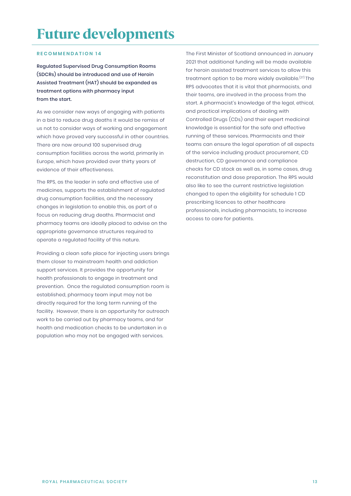### Future developments

### **RECOMMENDATION 14**

Regulated Supervised Drug Consumption Rooms (SDCRs) should be introduced and use of Heroin Assisted Treatment (HAT) should be expanded as treatment options with pharmacy input from the start.

As we consider new ways of engaging with patients in a bid to reduce drug deaths it would be remiss of us not to consider ways of working and engagement which have proved very successful in other countries. There are now around 100 supervised drug consumption facilities across the world, primarily in Europe, which have provided over thirty years of evidence of their effectiveness.

The RPS, as the leader in safe and effective use of medicines, supports the establishment of regulated drug consumption facilities, and the necessary changes in legislation to enable this, as part of a focus on reducing drug deaths. Pharmacist and pharmacy teams are ideally placed to advise on the appropriate governance structures required to operate a regulated facility of this nature.

Providing a clean safe place for injecting users brings them closer to mainstream health and addiction support services. It provides the opportunity for health professionals to engage in treatment and prevention. Once the regulated consumption room is established, pharmacy team input may not be directly required for the long term running of the facility. However, there is an opportunity for outreach work to be carried out by pharmacy teams, and for health and medication checks to be undertaken in a population who may not be engaged with services.

The First Minister of Scotland announced in January 2021 that additional funding will be made available for heroin assisted treatment services to allow this treatment option to be more widely available.<sup>(27)</sup>The RPS advocates that it is vital that pharmacists, and their teams, are involved in the process from the start. A pharmacist's knowledge of the legal, ethical, and practical implications of dealing with Controlled Drugs (CDs) and their expert medicinal knowledge is essential for the safe and effective running of these services. Pharmacists and their teams can ensure the legal operation of all aspects of the service including product procurement, CD destruction, CD governance and compliance checks for CD stock as well as, in some cases, drug reconstitution and dose preparation. The RPS would also like to see the current restrictive legislation changed to open the eligibility for schedule 1 CD prescribing licences to other healthcare professionals, including pharmacists, to increase access to care for patients.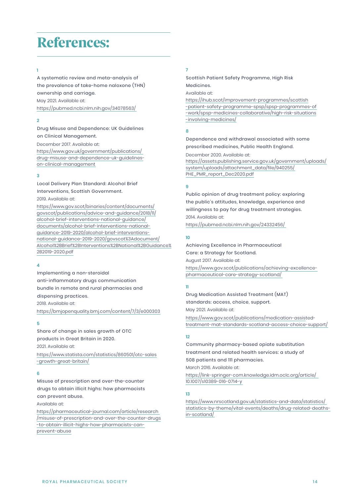### References:

**1**

https://pubmed.ncbi.nlm.nih.gov/34078563/ May 2021. Available at: A systematic review and meta-analysis of the prevalence of take-home naloxone (THN) ownership and carriage.

### **2**

### Drug misuse and dependence: UK guidelines on clinical management.

https://www.gov.uk/government/publications/ drug-misuse-and-dependence-uk-guidelineson-clinical-management December 2017. Available at:

### **3**

### Local Delivery Plan standard: Alcohol brief interventions, Scottish Government.

2019. Available at:

https://www.gov.scot/binaries/content/documents/ govscot/publications/advice-and-guidance/2018/11/ alcohol-brief-interventions-national-guidance/ documents/alcohol-brief-interventions-nationalguidance-2019-2020/alcohol-brief-interventionsnational-guidance-2019-2020/govscot%3Adocument/ Alcohol%2BBrief%2BInterventions%2BNational%2BGuidance% 2B2019-2020.pdf Drug Misuse and Dependence: UK Guidelines<br>
December 2017. Available at:<br>
December 2017. Available at:<br>
Or clinical Management.<br>
Or clinical Management<br>
Standard: Alcohol Brief The LPMR\_report\_Dec2020.pdf<br>
Interventions, Sc

#### **4**

2018. Available at: Implementing a non-steroidal anti-inflammatory drugs communication bundle in remote and rural pharmacies and dispensing practices.

https://bmjopenquality.bmj.com/content/7/3/e000303

#### **5**

2021. Available at: Share of change in sales growth of OTC products in Great Britain in 2020.

https://www.statista.com/statistics/860501/otc-sales -growth-great-britain/

### **6**

Misuse of prescription and over-the-counter drugs to obtain illicit highs: how pharmacists can prevent abuse.

### Available at:

https://pharmaceutical-journal.com/article/research /misuse-of-prescription-and-over-the-counter-drugs -to-obtain-illicit-highs-how-pharmacists-canprevent-abuse

### **7**

Scottish Patient Safety Programme, High Risk Medicines.

Available at:

https://ihub.scot/improvement-programmes/scottish -patient-safety-programme-spsp/spsp-programmes-of -work/spsp-medicines-collaborative/high-risk-situations -involving-medicines/

#### **8**

December 2020. Available at: Dependence and withdrawal associated with some prescribed medicines, Public Health England.

https://assets.publishing.service.gov.uk/government/uploads/ system/uploads/attachment\_data/file/940255/ PHE\_PMR\_report\_Dec2020.pdf

#### **9**

2014. Available at: Public opinion of drug treatment policy: exploring the public's attitudes, knowledge, experience and willingness to pay for drug treatment strategies.

https://pubmed.ncbi.nlm.nih.gov/24332456/

### **10**

https://www.gov.scot/publications/achieving-excellencepharmaceutical-care-strategy-scotland/ August 2017. Available at: Achieving excellence in pharmaceutical care: a strategy for Scotland. Care: a Strategy for Scotland.

### **11**

May 2021. Available at: Drug Medication Assisted Treatment (MAT) standards: access, choice, support.

https://www.gov.scot/publications/medication-assistedtreatment-mat-standards-scotland-access-choice-support/

### **12**

Community pharmacy-based opiate substitution treatment and related health services: a study of 508 patients and 111 pharmacies.

March 2016. Available at:

https://link-springer-com.knowledge.idm.oclc.org/article/ 10.1007/s10389-016-0714-y

#### **13**

https://www.nrscotland.gov.uk/statistics-and-data/statistics/ statistics-by-theme/vital-events/deaths/drug-related-deathsin-scotland/